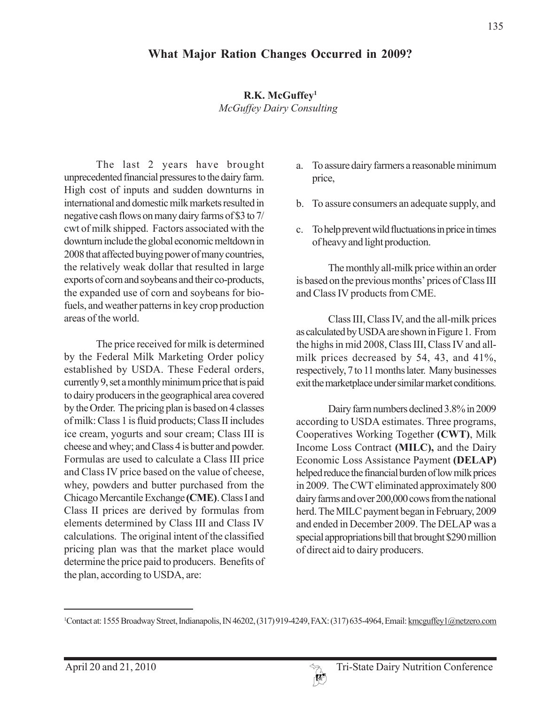## **R.K. McGuffey1** *McGuffey Dairy Consulting*

The last 2 years have brought unprecedented financial pressures to the dairy farm. High cost of inputs and sudden downturns in international and domestic milk markets resulted in negative cash flows on many dairy farms of \$3 to 7/ cwt of milk shipped. Factors associated with the downturn include the global economic meltdown in 2008 that affected buying power of many countries, the relatively weak dollar that resulted in large exports of corn and soybeans and their co-products, the expanded use of corn and soybeans for biofuels, and weather patterns in key crop production areas of the world.

The price received for milk is determined by the Federal Milk Marketing Order policy established by USDA. These Federal orders, currently 9, set a monthly minimum price that is paid to dairy producers in the geographical area covered by the Order. The pricing plan is based on 4 classes of milk: Class 1 is fluid products; Class II includes ice cream, yogurts and sour cream; Class III is cheese and whey; and Class 4 is butter and powder. Formulas are used to calculate a Class III price and Class IV price based on the value of cheese, whey, powders and butter purchased from the Chicago Mercantile Exchange **(CME)**. Class I and Class II prices are derived by formulas from elements determined by Class III and Class IV calculations. The original intent of the classified pricing plan was that the market place would determine the price paid to producers. Benefits of the plan, according to USDA, are:

- a. To assure dairy farmers a reasonable minimum price,
- b. To assure consumers an adequate supply, and
- c. To help prevent wild fluctuations in price in times of heavy and light production.

The monthly all-milk price within an order is based on the previous months' prices of Class III and Class IV products from CME.

Class III, Class IV, and the all-milk prices as calculated by USDA are shown in Figure 1. From the highs in mid 2008, Class III, Class IV and allmilk prices decreased by 54, 43, and 41%, respectively, 7 to 11 months later. Many businesses exit the marketplace under similar market conditions.

Dairy farm numbers declined 3.8% in 2009 according to USDA estimates. Three programs, Cooperatives Working Together **(CWT)**, Milk Income Loss Contract **(MILC),** and the Dairy Economic Loss Assistance Payment **(DELAP)** helped reduce the financial burden of low milk prices in 2009. The CWT eliminated approximately 800 dairy farms and over 200,000 cows from the national herd. The MILC payment began in February, 2009 and ended in December 2009. The DELAP was a special appropriations bill that brought \$290 million of direct aid to dairy producers.

<sup>&</sup>lt;sup>1</sup>Contact at: 1555 Broadway Street, Indianapolis, IN 46202, (317) 919-4249, FAX: (317) 635-4964, Email: kmcguffey1@netzero.com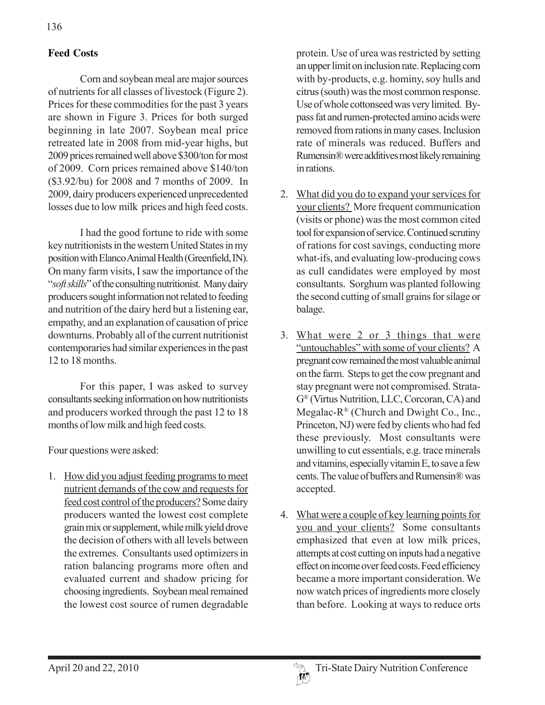## **Feed Costs**

Corn and soybean meal are major sources of nutrients for all classes of livestock (Figure 2). Prices for these commodities for the past 3 years are shown in Figure 3. Prices for both surged beginning in late 2007. Soybean meal price retreated late in 2008 from mid-year highs, but 2009 prices remained well above \$300/ton for most of 2009. Corn prices remained above \$140/ton (\$3.92/bu) for 2008 and 7 months of 2009. In 2009, dairy producers experienced unprecedented losses due to low milk prices and high feed costs.

I had the good fortune to ride with some key nutritionists in the western United States in my position with Elanco Animal Health (Greenfield, IN). On many farm visits, I saw the importance of the "*soft skills*" of the consulting nutritionist. Many dairy producers sought information not related to feeding and nutrition of the dairy herd but a listening ear, empathy, and an explanation of causation of price downturns. Probably all of the current nutritionist contemporaries had similar experiences in the past 12 to 18 months.

For this paper, I was asked to survey consultants seeking information on how nutritionists and producers worked through the past 12 to 18 months of low milk and high feed costs.

Four questions were asked:

1. How did you adjust feeding programs to meet nutrient demands of the cow and requests for feed cost control of the producers? Some dairy producers wanted the lowest cost complete grain mix or supplement, while milk yield drove the decision of others with all levels between the extremes. Consultants used optimizers in ration balancing programs more often and evaluated current and shadow pricing for choosing ingredients. Soybean meal remained the lowest cost source of rumen degradable

protein. Use of urea was restricted by setting an upper limit on inclusion rate. Replacing corn with by-products, e.g. hominy, soy hulls and citrus (south) was the most common response. Use of whole cottonseed was very limited. Bypass fat and rumen-protected amino acids were removed from rations in many cases. Inclusion rate of minerals was reduced. Buffers and Rumensin® were additives most likely remaining in rations.

- 2. What did you do to expand your services for your clients? More frequent communication (visits or phone) was the most common cited tool for expansion of service. Continued scrutiny of rations for cost savings, conducting more what-ifs, and evaluating low-producing cows as cull candidates were employed by most consultants. Sorghum was planted following the second cutting of small grains for silage or balage.
- 3. What were 2 or 3 things that were "untouchables" with some of your clients? A pregnant cow remained the most valuable animal on the farm. Steps to get the cow pregnant and stay pregnant were not compromised. Strata-G® (Virtus Nutrition, LLC, Corcoran, CA) and Megalac- $R^{\circledR}$  (Church and Dwight Co., Inc., Princeton, NJ) were fed by clients who had fed these previously. Most consultants were unwilling to cut essentials, e.g. trace minerals and vitamins, especially vitamin E, to save a few cents. The value of buffers and Rumensin® was accepted.
- 4. What were a couple of key learning points for you and your clients? Some consultants emphasized that even at low milk prices, attempts at cost cutting on inputs had a negative effect on income over feed costs. Feed efficiency became a more important consideration. We now watch prices of ingredients more closely than before. Looking at ways to reduce orts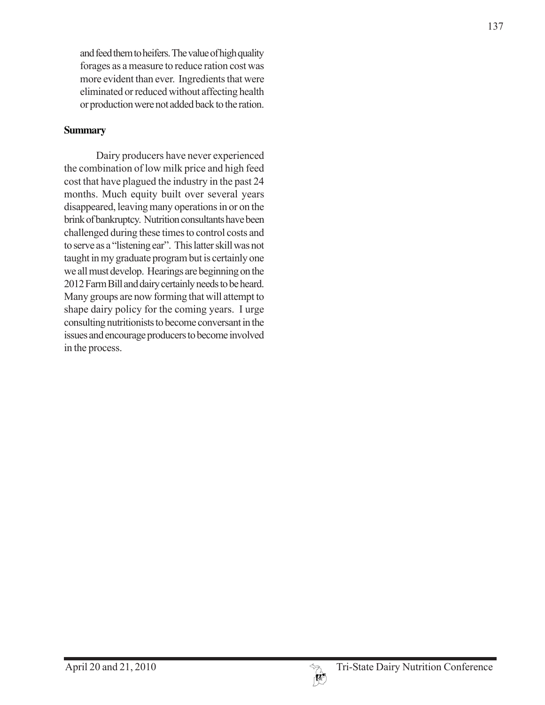and feed them to heifers. The value of high quality forages as a measure to reduce ration cost was more evident than ever. Ingredients that were eliminated or reduced without affecting health or production were not added back to the ration.

## **Summary**

Dairy producers have never experienced the combination of low milk price and high feed cost that have plagued the industry in the past 24 months. Much equity built over several years disappeared, leaving many operations in or on the brink of bankruptcy. Nutrition consultants have been challenged during these times to control costs and to serve as a "listening ear". This latter skill was not taught in my graduate program but is certainly one we all must develop. Hearings are beginning on the 2012 Farm Bill and dairy certainly needs to be heard. Many groups are now forming that will attempt to shape dairy policy for the coming years. I urge consulting nutritionists to become conversant in the issues and encourage producers to become involved in the process.

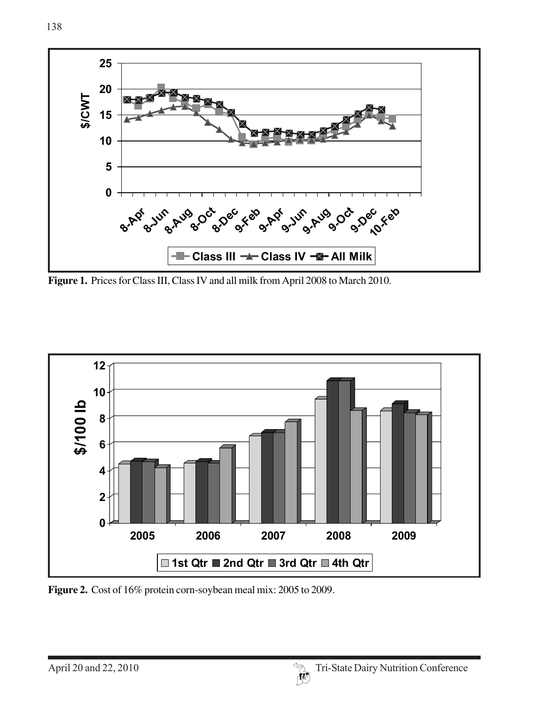

**Figure 1.** Prices for Class III, Class IV and all milk from April 2008 to March 2010.



**Figure 2.** Cost of 16% protein corn-soybean meal mix: 2005 to 2009.